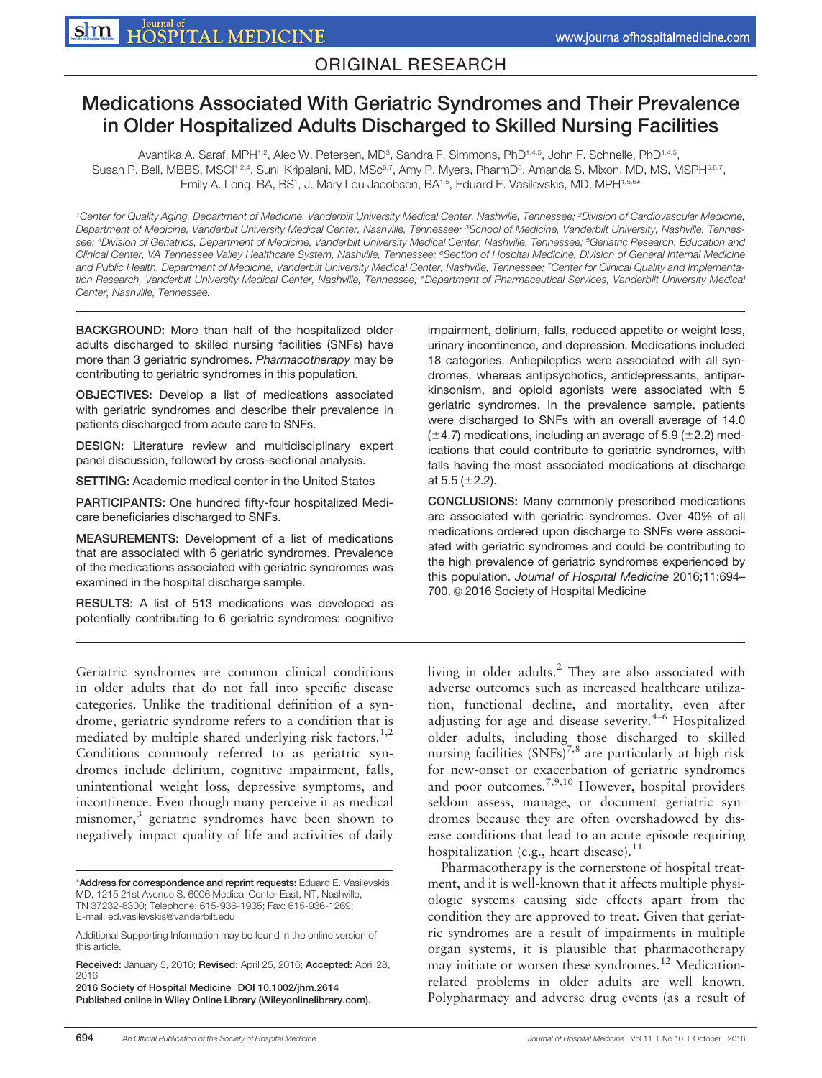## ORIGINAL RESEARCH

# Medications Associated With Geriatric Syndromes and Their Prevalence in Older Hospitalized Adults Discharged to Skilled Nursing Facilities

Avantika A. Saraf, MPH1.2, Alec W. Petersen, MD<sup>3</sup>, Sandra F. Simmons, PhD1.4,5, John F. Schnelle, PhD1.4,5, Susan P. Bell, MBBS, MSCl<sup>1,2,4</sup>, Sunil Kripalani, MD, MSc<sup>6,7</sup>, Amy P. Myers, PharmD<sup>8</sup>, Amanda S. Mixon, MD, MS, MSPH56,7, Emily A. Long, BA, BS<sup>1</sup>, J. Mary Lou Jacobsen, BA<sup>1,5</sup>, Eduard E. Vasilevskis, MD, MPH<sup>1,5,6</sup>\*

<sup>1</sup>Center for Quality Aging, Department of Medicine, Vanderbilt University Medical Center, Nashville, Tennessee; <sup>2</sup>Division of Cardiovascular Medicine, Department of Medicine, Vanderbilt University Medical Center, Nashville, Tennessee; <sup>3</sup>School of Medicine, Vanderbilt University, Nashville, Tennessee; <sup>4</sup>Division of Geriatrics, Department of Medicine, Vanderbilt University Medical Center, Nashville, Tennessee; <sup>5</sup>Geriatric Research, Education and Clinical Center, VA Tennessee Valley Healthcare System, Nashville, Tennessee; <sup>6</sup>Section of Hospital Medicine, Division of General Internal Medicine and Public Health, Department of Medicine, Vanderbilt University Medical Center, Nashville, Tennessee; 7Center for Clinical Quality and Implementation Research, Vanderbilt University Medical Center, Nashville, Tennessee; <sup>8</sup>Department of Pharmaceutical Services, Vanderbilt University Medical Center, Nashville, Tennessee.

BACKGROUND: More than half of the hospitalized older adults discharged to skilled nursing facilities (SNFs) have more than 3 geriatric syndromes. Pharmacotherapy may be contributing to geriatric syndromes in this population.

OBJECTIVES: Develop a list of medications associated with geriatric syndromes and describe their prevalence in patients discharged from acute care to SNFs.

DESIGN: Literature review and multidisciplinary expert panel discussion, followed by cross-sectional analysis.

SETTING: Academic medical center in the United States

PARTICIPANTS: One hundred fifty-four hospitalized Medicare beneficiaries discharged to SNFs.

MEASUREMENTS: Development of a list of medications that are associated with 6 geriatric syndromes. Prevalence of the medications associated with geriatric syndromes was examined in the hospital discharge sample.

RESULTS: A list of 513 medications was developed as potentially contributing to 6 geriatric syndromes: cognitive

Geriatric syndromes are common clinical conditions in older adults that do not fall into specific disease categories. Unlike the traditional definition of a syndrome, geriatric syndrome refers to a condition that is mediated by multiple shared underlying risk factors.<sup>1,2</sup> Conditions commonly referred to as geriatric syndromes include delirium, cognitive impairment, falls, unintentional weight loss, depressive symptoms, and incontinence. Even though many perceive it as medical misnomer,<sup>3</sup> geriatric syndromes have been shown to negatively impact quality of life and activities of daily

2016 Society of Hospital Medicine DOI 10.1002/jhm.2614 Published online in Wiley Online Library (Wileyonlinelibrary.com). impairment, delirium, falls, reduced appetite or weight loss, urinary incontinence, and depression. Medications included 18 categories. Antiepileptics were associated with all syndromes, whereas antipsychotics, antidepressants, antiparkinsonism, and opioid agonists were associated with 5 geriatric syndromes. In the prevalence sample, patients were discharged to SNFs with an overall average of 14.0  $(\pm 4.7)$  medications, including an average of 5.9 ( $\pm 2.2$ ) medications that could contribute to geriatric syndromes, with falls having the most associated medications at discharge at 5.5 ( $\pm$ 2.2).

CONCLUSIONS: Many commonly prescribed medications are associated with geriatric syndromes. Over 40% of all medications ordered upon discharge to SNFs were associated with geriatric syndromes and could be contributing to the high prevalence of geriatric syndromes experienced by this population. Journal of Hospital Medicine 2016;11:694– 700. © 2016 Society of Hospital Medicine

living in older adults. $2$  They are also associated with adverse outcomes such as increased healthcare utilization, functional decline, and mortality, even after adjusting for age and disease severity. $4-6$  Hospitalized older adults, including those discharged to skilled nursing facilities  $(SNFs)^{7,8}$  are particularly at high risk for new-onset or exacerbation of geriatric syndromes and poor outcomes.<sup>7,9,10</sup> However, hospital providers seldom assess, manage, or document geriatric syndromes because they are often overshadowed by disease conditions that lead to an acute episode requiring hospitalization (e.g., heart disease). $11$ 

Pharmacotherapy is the cornerstone of hospital treatment, and it is well-known that it affects multiple physiologic systems causing side effects apart from the condition they are approved to treat. Given that geriatric syndromes are a result of impairments in multiple organ systems, it is plausible that pharmacotherapy may initiate or worsen these syndromes.<sup>12</sup> Medicationrelated problems in older adults are well known. Polypharmacy and adverse drug events (as a result of

<sup>\*</sup>Address for correspondence and reprint requests: Eduard E. Vasilevskis, MD, 1215 21st Avenue S, 6006 Medical Center East, NT, Nashville, TN 37232-8300; Telephone: 615-936-1935; Fax: 615-936-1269; E-mail: ed.vasilevskis@vanderbilt.edu

Additional Supporting Information may be found in the online version of this article.

Received: January 5, 2016; Revised: April 25, 2016; Accepted: April 28, 2016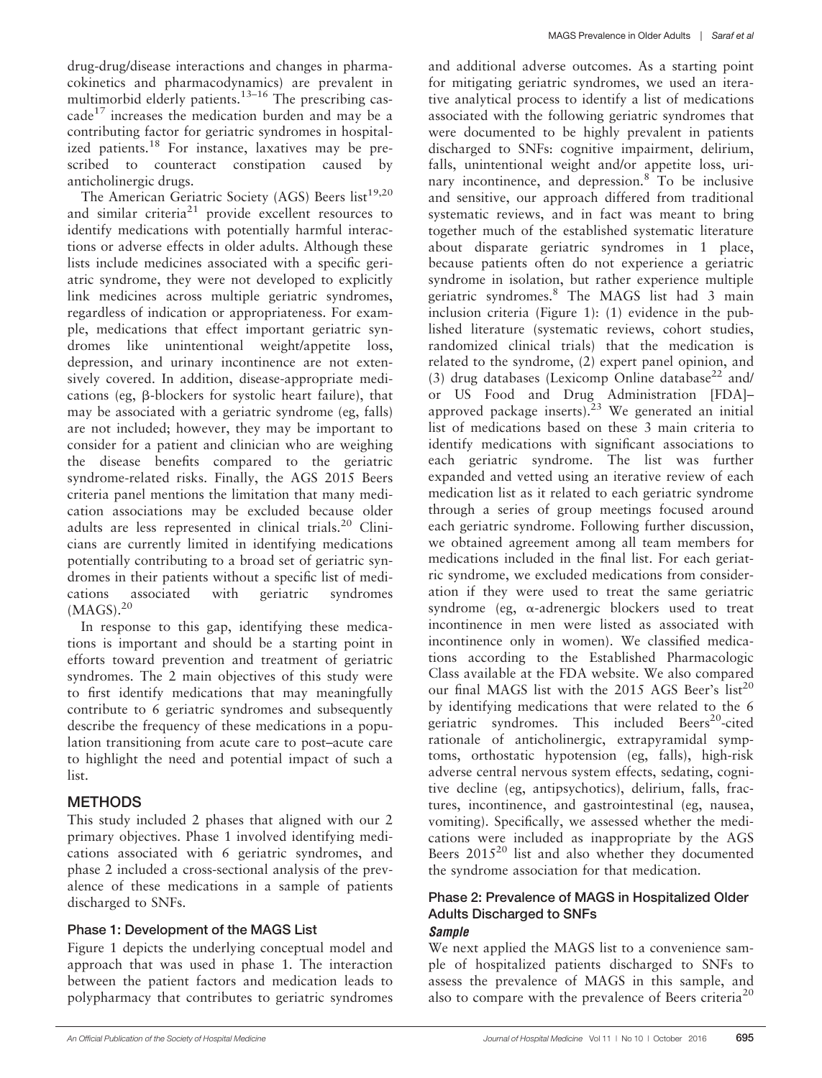drug-drug/disease interactions and changes in pharmacokinetics and pharmacodynamics) are prevalent in multimorbid elderly patients. $13-16$  The prescribing cascade<sup>17</sup> increases the medication burden and may be a contributing factor for geriatric syndromes in hospitalized patients.<sup>18</sup> For instance, laxatives may be prescribed to counteract constipation caused by anticholinergic drugs.

The American Geriatric Society (AGS) Beers  $list^{19,20}$ and similar criteria<sup>21</sup> provide excellent resources to identify medications with potentially harmful interactions or adverse effects in older adults. Although these lists include medicines associated with a specific geriatric syndrome, they were not developed to explicitly link medicines across multiple geriatric syndromes, regardless of indication or appropriateness. For example, medications that effect important geriatric syndromes like unintentional weight/appetite loss, depression, and urinary incontinence are not extensively covered. In addition, disease-appropriate medications (eg, b-blockers for systolic heart failure), that may be associated with a geriatric syndrome (eg, falls) are not included; however, they may be important to consider for a patient and clinician who are weighing the disease benefits compared to the geriatric syndrome-related risks. Finally, the AGS 2015 Beers criteria panel mentions the limitation that many medication associations may be excluded because older adults are less represented in clinical trials. $20$  Clinicians are currently limited in identifying medications potentially contributing to a broad set of geriatric syndromes in their patients without a specific list of medications associated with geriatric syndromes  $(MAGS).$ <sup>20</sup>

In response to this gap, identifying these medications is important and should be a starting point in efforts toward prevention and treatment of geriatric syndromes. The 2 main objectives of this study were to first identify medications that may meaningfully contribute to 6 geriatric syndromes and subsequently describe the frequency of these medications in a population transitioning from acute care to post–acute care to highlight the need and potential impact of such a list.

## METHODS

This study included 2 phases that aligned with our 2 primary objectives. Phase 1 involved identifying medications associated with 6 geriatric syndromes, and phase 2 included a cross-sectional analysis of the prevalence of these medications in a sample of patients discharged to SNFs.

### Phase 1: Development of the MAGS List

Figure 1 depicts the underlying conceptual model and approach that was used in phase 1. The interaction between the patient factors and medication leads to polypharmacy that contributes to geriatric syndromes and additional adverse outcomes. As a starting point for mitigating geriatric syndromes, we used an iterative analytical process to identify a list of medications associated with the following geriatric syndromes that were documented to be highly prevalent in patients discharged to SNFs: cognitive impairment, delirium, falls, unintentional weight and/or appetite loss, urinary incontinence, and depression.<sup>8</sup> To be inclusive and sensitive, our approach differed from traditional systematic reviews, and in fact was meant to bring together much of the established systematic literature about disparate geriatric syndromes in 1 place, because patients often do not experience a geriatric syndrome in isolation, but rather experience multiple geriatric syndromes.<sup>8</sup> The MAGS list had 3 main inclusion criteria (Figure 1): (1) evidence in the published literature (systematic reviews, cohort studies, randomized clinical trials) that the medication is related to the syndrome, (2) expert panel opinion, and (3) drug databases (Lexicomp Online database<sup>22</sup> and/ or US Food and Drug Administration [FDA]– approved package inserts). $23$  We generated an initial list of medications based on these 3 main criteria to identify medications with significant associations to each geriatric syndrome. The list was further expanded and vetted using an iterative review of each medication list as it related to each geriatric syndrome through a series of group meetings focused around each geriatric syndrome. Following further discussion, we obtained agreement among all team members for medications included in the final list. For each geriatric syndrome, we excluded medications from consideration if they were used to treat the same geriatric syndrome (eg,  $\alpha$ -adrenergic blockers used to treat incontinence in men were listed as associated with incontinence only in women). We classified medications according to the Established Pharmacologic Class available at the FDA website. We also compared our final MAGS list with the 2015 AGS Beer's  $list^{20}$ by identifying medications that were related to the 6 geriatric syndromes. This included Beers<sup>20</sup>-cited rationale of anticholinergic, extrapyramidal symptoms, orthostatic hypotension (eg, falls), high-risk adverse central nervous system effects, sedating, cognitive decline (eg, antipsychotics), delirium, falls, fractures, incontinence, and gastrointestinal (eg, nausea, vomiting). Specifically, we assessed whether the medications were included as inappropriate by the AGS Beers 2015<sup>20</sup> list and also whether they documented the syndrome association for that medication.

#### Phase 2: Prevalence of MAGS in Hospitalized Older Adults Discharged to SNFs Sample

We next applied the MAGS list to a convenience sample of hospitalized patients discharged to SNFs to assess the prevalence of MAGS in this sample, and also to compare with the prevalence of Beers criteria<sup>20</sup>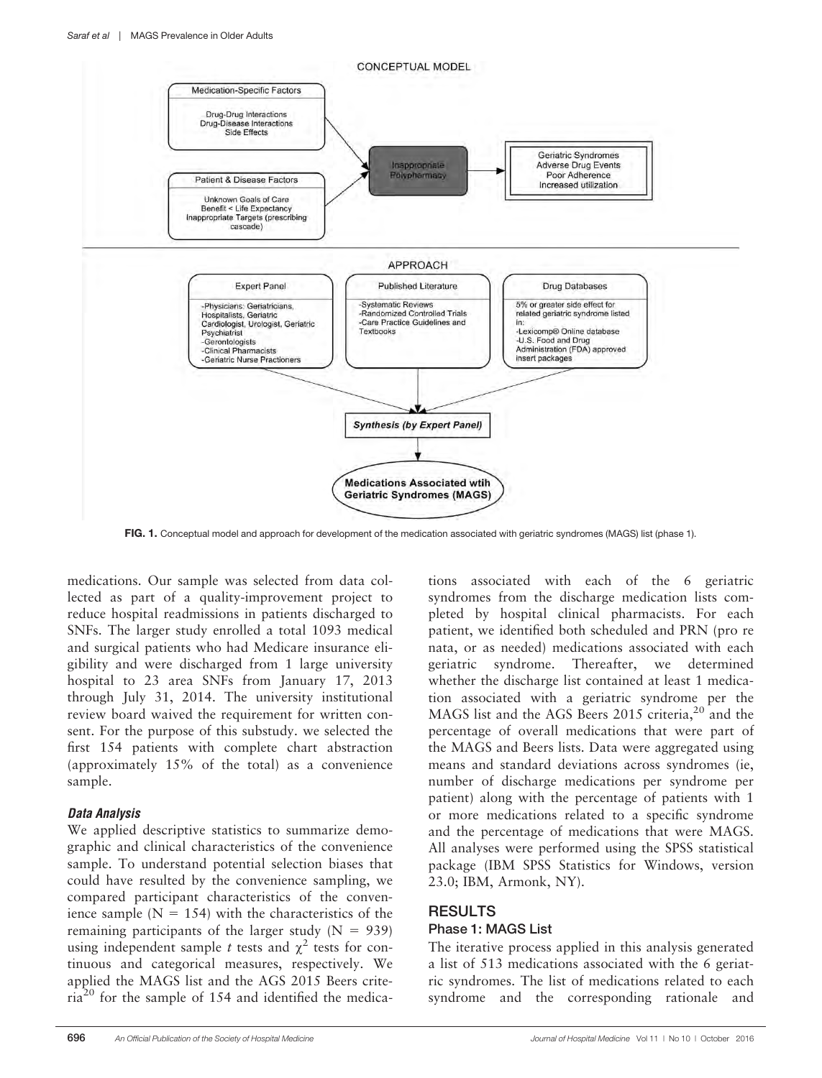

FIG. 1. Conceptual model and approach for development of the medication associated with geriatric syndromes (MAGS) list (phase 1).

medications. Our sample was selected from data collected as part of a quality-improvement project to reduce hospital readmissions in patients discharged to SNFs. The larger study enrolled a total 1093 medical and surgical patients who had Medicare insurance eligibility and were discharged from 1 large university hospital to 23 area SNFs from January 17, 2013 through July 31, 2014. The university institutional review board waived the requirement for written consent. For the purpose of this substudy. we selected the first 154 patients with complete chart abstraction (approximately 15% of the total) as a convenience sample.

#### Data Analysis

We applied descriptive statistics to summarize demographic and clinical characteristics of the convenience sample. To understand potential selection biases that could have resulted by the convenience sampling, we compared participant characteristics of the convenience sample ( $N = 154$ ) with the characteristics of the remaining participants of the larger study ( $N = 939$ ) using independent sample t tests and  $\chi^2$  tests for continuous and categorical measures, respectively. We applied the MAGS list and the AGS 2015 Beers criteria<sup>20</sup> for the sample of 154 and identified the medica-

tions associated with each of the 6 geriatric syndromes from the discharge medication lists completed by hospital clinical pharmacists. For each patient, we identified both scheduled and PRN (pro re nata, or as needed) medications associated with each geriatric syndrome. Thereafter, we determined whether the discharge list contained at least 1 medication associated with a geriatric syndrome per the MAGS list and the AGS Beers 2015 criteria, $2^{0}$  and the percentage of overall medications that were part of the MAGS and Beers lists. Data were aggregated using means and standard deviations across syndromes (ie, number of discharge medications per syndrome per patient) along with the percentage of patients with 1 or more medications related to a specific syndrome and the percentage of medications that were MAGS. All analyses were performed using the SPSS statistical package (IBM SPSS Statistics for Windows, version 23.0; IBM, Armonk, NY).

## RESULTS

### Phase 1: MAGS List

The iterative process applied in this analysis generated a list of 513 medications associated with the 6 geriatric syndromes. The list of medications related to each syndrome and the corresponding rationale and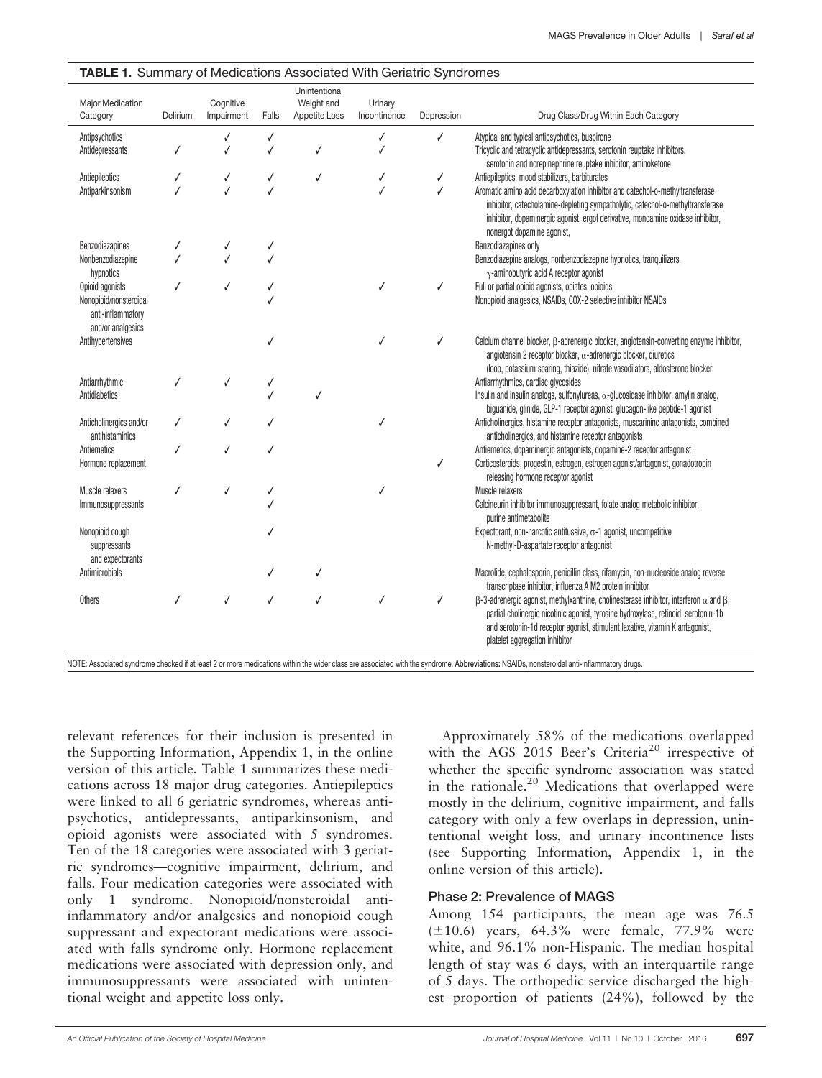| Major Medication<br>Category                                     | Delirium | Cognitive<br>Impairment | Falls | Unintentional<br>Weight and<br>Appetite Loss | Urinary<br>Incontinence | Depression | Drug Class/Drug Within Each Category                                                                                                                                                                                                                                                                                |
|------------------------------------------------------------------|----------|-------------------------|-------|----------------------------------------------|-------------------------|------------|---------------------------------------------------------------------------------------------------------------------------------------------------------------------------------------------------------------------------------------------------------------------------------------------------------------------|
| Antipsychotics                                                   |          |                         | ✓     |                                              |                         | √          | Atypical and typical antipsychotics, buspirone                                                                                                                                                                                                                                                                      |
| Antidepressants                                                  |          |                         |       | √                                            |                         |            | Tricyclic and tetracyclic antidepressants, serotonin reuptake inhibitors,<br>serotonin and norepinephrine reuptake inhibitor, aminoketone                                                                                                                                                                           |
| Antiepileptics                                                   |          |                         | √     | √                                            |                         | √          | Antiepileptics, mood stabilizers, barbiturates                                                                                                                                                                                                                                                                      |
| Antiparkinsonism                                                 |          |                         |       |                                              |                         |            | Aromatic amino acid decarboxylation inhibitor and catechol-o-methyltransferase<br>inhibitor, catecholamine-depleting sympatholytic, catechol-o-methyltransferase<br>inhibitor, dopaminergic agonist, ergot derivative, monoamine oxidase inhibitor,<br>nonergot dopamine agonist,                                   |
| Benzodiazapines                                                  |          |                         |       |                                              |                         |            | Benzodiazapines only                                                                                                                                                                                                                                                                                                |
| Nonbenzodiazepine<br>hypnotics                                   |          |                         |       |                                              |                         |            | Benzodiazepine analogs, nonbenzodiazepine hypnotics, tranquilizers,<br>$\gamma$ -aminobutyric acid A receptor agonist                                                                                                                                                                                               |
| Opioid agonists                                                  |          |                         |       |                                              |                         |            | Full or partial opioid agonists, opiates, opioids                                                                                                                                                                                                                                                                   |
| Nonopioid/nonsteroidal<br>anti-inflammatory<br>and/or analgesics |          |                         |       |                                              |                         |            | Nonopioid analgesics, NSAIDs, COX-2 selective inhibitor NSAIDs                                                                                                                                                                                                                                                      |
| Antihypertensives                                                |          |                         |       |                                              |                         |            | Calcium channel blocker, $\beta$ -adrenergic blocker, angiotensin-converting enzyme inhibitor,<br>angiotensin 2 receptor blocker, $\alpha$ -adrenergic blocker, diuretics<br>(loop, potassium sparing, thiazide), nitrate vasodilators, aldosterone blocker                                                         |
| Antiarrhythmic                                                   |          | √                       |       |                                              |                         |            | Antiarrhythmics, cardiac glycosides                                                                                                                                                                                                                                                                                 |
| Antidiabetics                                                    |          |                         |       |                                              |                         |            | Insulin and insulin analogs, sulfonylureas, $\alpha$ -glucosidase inhibitor, amylin analog,<br>biquanide, glinide, GLP-1 receptor agonist, glucagon-like peptide-1 agonist                                                                                                                                          |
| Anticholinergics and/or<br>antihistaminics                       |          |                         |       |                                              |                         |            | Anticholinergics, histamine receptor antagonists, muscarininc antagonists, combined<br>anticholinergics, and histamine receptor antagonists                                                                                                                                                                         |
| Antiemetics<br>Hormone replacement                               |          |                         |       |                                              |                         | J          | Antiemetics, dopaminergic antagonists, dopamine-2 receptor antagonist<br>Corticosteroids, progestin, estrogen, estrogen agonist/antagonist, gonadotropin<br>releasing hormone receptor agonist                                                                                                                      |
| Muscle relaxers                                                  |          | √                       |       |                                              | √                       |            | Muscle relaxers                                                                                                                                                                                                                                                                                                     |
| Immunosuppressants                                               |          |                         |       |                                              |                         |            | Calcineurin inhibitor immunosuppressant, folate analog metabolic inhibitor,<br>purine antimetabolite                                                                                                                                                                                                                |
| Nonopioid cough<br>suppressants<br>and expectorants              |          |                         |       |                                              |                         |            | Expectorant, non-narcotic antitussive, $\sigma$ -1 agonist, uncompetitive<br>N-methyl-D-aspartate receptor antagonist                                                                                                                                                                                               |
| Antimicrobials                                                   |          |                         |       |                                              |                         |            | Macrolide, cephalosporin, penicillin class, rifamycin, non-nucleoside analog reverse<br>transcriptase inhibitor, influenza A M2 protein inhibitor                                                                                                                                                                   |
| <b>Others</b>                                                    |          |                         |       |                                              |                         |            | $\beta$ -3-adrenergic agonist, methylxanthine, cholinesterase inhibitor, interferon $\alpha$ and $\beta$ ,<br>partial cholinergic nicotinic agonist, tyrosine hydroxylase, retinoid, serotonin-1b<br>and serotonin-1d receptor agonist, stimulant laxative, vitamin K antagonist,<br>platelet aggregation inhibitor |

#### TABLE 1. Summary of Medications Associated With Geriatric Syndromes

relevant references for their inclusion is presented in the Supporting Information, Appendix 1, in the online version of this article. Table 1 summarizes these medications across 18 major drug categories. Antiepileptics were linked to all 6 geriatric syndromes, whereas antipsychotics, antidepressants, antiparkinsonism, and opioid agonists were associated with 5 syndromes. Ten of the 18 categories were associated with 3 geriatric syndromes—cognitive impairment, delirium, and falls. Four medication categories were associated with only 1 syndrome. Nonopioid/nonsteroidal antiinflammatory and/or analgesics and nonopioid cough suppressant and expectorant medications were associated with falls syndrome only. Hormone replacement medications were associated with depression only, and immunosuppressants were associated with unintentional weight and appetite loss only.

Approximately 58% of the medications overlapped with the AGS 2015 Beer's Criteria<sup>20</sup> irrespective of whether the specific syndrome association was stated in the rationale.<sup>20</sup> Medications that overlapped were mostly in the delirium, cognitive impairment, and falls category with only a few overlaps in depression, unintentional weight loss, and urinary incontinence lists (see Supporting Information, Appendix 1, in the online version of this article).

### Phase 2: Prevalence of MAGS

Among 154 participants, the mean age was 76.5  $(\pm 10.6)$  years, 64.3% were female, 77.9% were white, and 96.1% non-Hispanic. The median hospital length of stay was 6 days, with an interquartile range of 5 days. The orthopedic service discharged the highest proportion of patients (24%), followed by the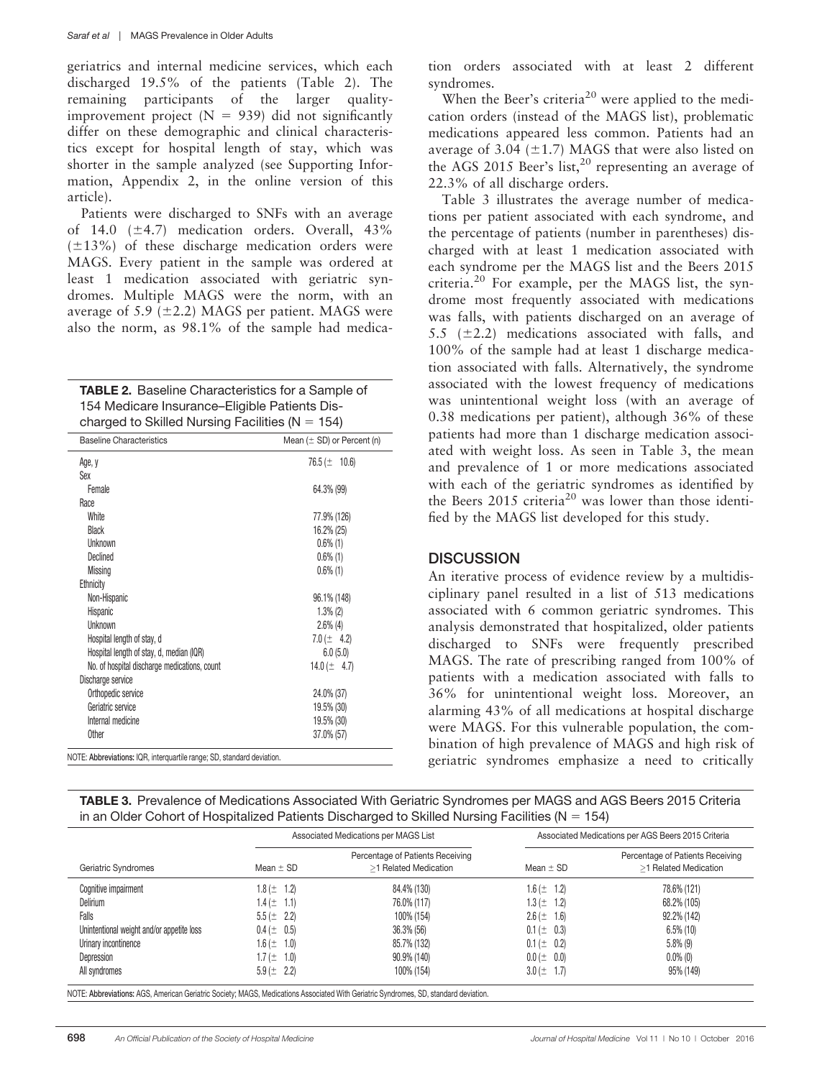geriatrics and internal medicine services, which each discharged 19.5% of the patients (Table 2). The remaining participants of the larger qualityimprovement project  $(N = 939)$  did not significantly differ on these demographic and clinical characteristics except for hospital length of stay, which was shorter in the sample analyzed (see Supporting Information, Appendix 2, in the online version of this article).

Patients were discharged to SNFs with an average of 14.0  $(\pm 4.7)$  medication orders. Overall, 43%  $(\pm 13\%)$  of these discharge medication orders were MAGS. Every patient in the sample was ordered at least 1 medication associated with geriatric syndromes. Multiple MAGS were the norm, with an average of 5.9 ( $\pm$ 2.2) MAGS per patient. MAGS were also the norm, as 98.1% of the sample had medica-

| <b>TABLE 2.</b> Baseline Characteristics for a Sample of |
|----------------------------------------------------------|
| 154 Medicare Insurance–Eligible Patients Dis-            |
| charged to Skilled Nursing Facilities ( $N = 154$ )      |

| <b>Baseline Characteristics</b>              | Mean $(\pm$ SD) or Percent (n) |
|----------------------------------------------|--------------------------------|
| Age, y                                       | $76.5 (\pm 10.6)$              |
| Sex                                          |                                |
| Female                                       | 64.3% (99)                     |
| Race                                         |                                |
| White                                        | 77.9% (126)                    |
| <b>Black</b>                                 | 16.2% (25)                     |
| Unknown                                      | $0.6\%$ (1)                    |
| Declined                                     | $0.6\%$ (1)                    |
| <b>Missing</b>                               | $0.6\%$ (1)                    |
| Ethnicity                                    |                                |
| Non-Hispanic                                 | 96.1% (148)                    |
| Hispanic                                     | $1.3\%$ (2)                    |
| Unknown                                      | $2.6\%$ (4)                    |
| Hospital length of stay, d                   | 7.0 ( $\pm$ 4.2)               |
| Hospital length of stay, d, median (IQR)     | 6.0(5.0)                       |
| No. of hospital discharge medications, count | 14.0 $(\pm$ 4.7)               |
| Discharge service                            |                                |
| Orthopedic service                           | 24.0% (37)                     |
| Geriatric service                            | 19.5% (30)                     |
| Internal medicine                            | 19.5% (30)                     |
| <b>Other</b>                                 | 37.0% (57)                     |

NOTE: Abbreviations: IQR, interquartile range; SD, standard devi

tion orders associated with at least 2 different syndromes.

When the Beer's criteria<sup>20</sup> were applied to the medication orders (instead of the MAGS list), problematic medications appeared less common. Patients had an average of 3.04 ( $\pm$ 1.7) MAGS that were also listed on the AGS 2015 Beer's list,<sup>20</sup> representing an average of 22.3% of all discharge orders.

Table 3 illustrates the average number of medications per patient associated with each syndrome, and the percentage of patients (number in parentheses) discharged with at least 1 medication associated with each syndrome per the MAGS list and the Beers 2015 criteria.<sup>20</sup> For example, per the MAGS list, the syndrome most frequently associated with medications was falls, with patients discharged on an average of 5.5 ( $\pm$ 2.2) medications associated with falls, and 100% of the sample had at least 1 discharge medication associated with falls. Alternatively, the syndrome associated with the lowest frequency of medications was unintentional weight loss (with an average of 0.38 medications per patient), although 36% of these patients had more than 1 discharge medication associated with weight loss. As seen in Table 3, the mean and prevalence of 1 or more medications associated with each of the geriatric syndromes as identified by the Beers  $2015$  criteria<sup>20</sup> was lower than those identified by the MAGS list developed for this study.

## **DISCUSSION**

An iterative process of evidence review by a multidisciplinary panel resulted in a list of 513 medications associated with 6 common geriatric syndromes. This analysis demonstrated that hospitalized, older patients discharged to SNFs were frequently prescribed MAGS. The rate of prescribing ranged from 100% of patients with a medication associated with falls to 36% for unintentional weight loss. Moreover, an alarming 43% of all medications at hospital discharge were MAGS. For this vulnerable population, the combination of high prevalence of MAGS and high risk of geriatric syndromes emphasize a need to critically

| TABLE 3. Prevalence of Medications Associated With Geriatric Syndromes per MAGS and AGS Beers 2015 Criteria |  |
|-------------------------------------------------------------------------------------------------------------|--|
| in an Older Cohort of Hospitalized Patients Discharged to Skilled Nursing Facilities ( $N = 154$ )          |  |

|                                           |                 | Associated Medications per MAGS List                      | Associated Medications per AGS Beers 2015 Criteria |                                                           |
|-------------------------------------------|-----------------|-----------------------------------------------------------|----------------------------------------------------|-----------------------------------------------------------|
| Geriatric Syndromes                       | Mean $\pm$ SD   | Percentage of Patients Receiving<br>>1 Related Medication | Mean $\pm$ SD                                      | Percentage of Patients Receiving<br>>1 Related Medication |
| Cognitive impairment                      | $1.8 (\pm 1.2)$ | 84.4% (130)                                               | $1.6 (\pm 1.2)$                                    | 78.6% (121)                                               |
| <b>Delirium</b>                           | $1.4 (\pm 1.1)$ | 76.0% (117)                                               | $1.3 (\pm 1.2)$                                    | 68.2% (105)                                               |
| Falls                                     | $5.5 (\pm 2.2)$ | 100% (154)                                                | $2.6 (\pm 1.6)$                                    | 92.2% (142)                                               |
| Unintentional weight and/or appetite loss | $0.4 (\pm 0.5)$ | 36.3% (56)                                                | $0.1 (\pm 0.3)$                                    | $6.5\%$ (10)                                              |
| Urinary incontinence                      | $1.6 (\pm 1.0)$ | 85.7% (132)                                               | $0.1 (\pm 0.2)$                                    | $5.8\%$ (9)                                               |
| Depression                                | $1.7 (\pm 1.0)$ | 90.9% (140)                                               | $0.0 (\pm 0.0)$                                    | $0.0\%$ (0)                                               |
| All syndromes                             | $5.9 (\pm 2.2)$ | 100% (154)                                                | $3.0 (\pm 1.7)$                                    | 95% (149)                                                 |

NOTE: Abbreviations: AGS, American Geriatric Society; MAGS, Medications Associated With Geriatric Syndromes, SD, standard deviation.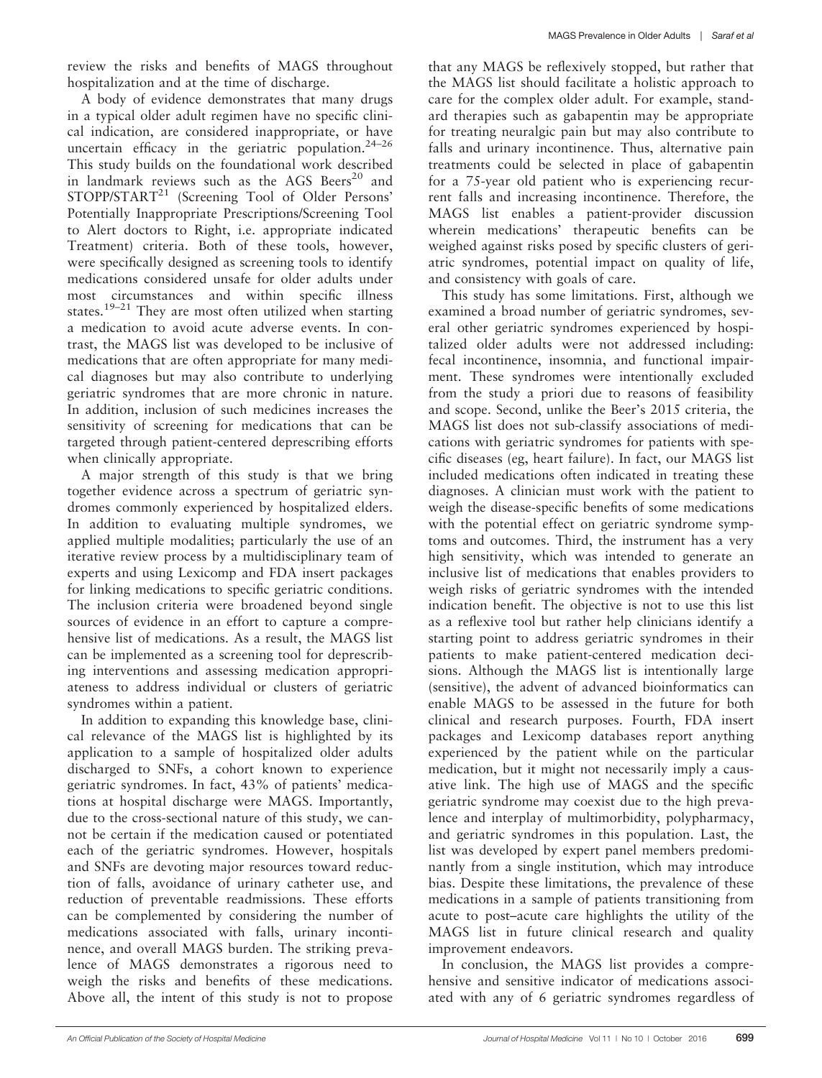review the risks and benefits of MAGS throughout hospitalization and at the time of discharge.

A body of evidence demonstrates that many drugs in a typical older adult regimen have no specific clinical indication, are considered inappropriate, or have uncertain efficacy in the geriatric population. $24-26$ This study builds on the foundational work described in landmark reviews such as the AGS Beers<sup>20</sup> and STOPP/START<sup>21</sup> (Screening Tool of Older Persons' Potentially Inappropriate Prescriptions/Screening Tool to Alert doctors to Right, i.e. appropriate indicated Treatment) criteria. Both of these tools, however, were specifically designed as screening tools to identify medications considered unsafe for older adults under most circumstances and within specific illness states.<sup>19–21</sup> They are most often utilized when starting a medication to avoid acute adverse events. In contrast, the MAGS list was developed to be inclusive of medications that are often appropriate for many medical diagnoses but may also contribute to underlying geriatric syndromes that are more chronic in nature. In addition, inclusion of such medicines increases the sensitivity of screening for medications that can be targeted through patient-centered deprescribing efforts when clinically appropriate.

A major strength of this study is that we bring together evidence across a spectrum of geriatric syndromes commonly experienced by hospitalized elders. In addition to evaluating multiple syndromes, we applied multiple modalities; particularly the use of an iterative review process by a multidisciplinary team of experts and using Lexicomp and FDA insert packages for linking medications to specific geriatric conditions. The inclusion criteria were broadened beyond single sources of evidence in an effort to capture a comprehensive list of medications. As a result, the MAGS list can be implemented as a screening tool for deprescribing interventions and assessing medication appropriateness to address individual or clusters of geriatric syndromes within a patient.

In addition to expanding this knowledge base, clinical relevance of the MAGS list is highlighted by its application to a sample of hospitalized older adults discharged to SNFs, a cohort known to experience geriatric syndromes. In fact, 43% of patients' medications at hospital discharge were MAGS. Importantly, due to the cross-sectional nature of this study, we cannot be certain if the medication caused or potentiated each of the geriatric syndromes. However, hospitals and SNFs are devoting major resources toward reduction of falls, avoidance of urinary catheter use, and reduction of preventable readmissions. These efforts can be complemented by considering the number of medications associated with falls, urinary incontinence, and overall MAGS burden. The striking prevalence of MAGS demonstrates a rigorous need to weigh the risks and benefits of these medications. Above all, the intent of this study is not to propose that any MAGS be reflexively stopped, but rather that the MAGS list should facilitate a holistic approach to care for the complex older adult. For example, standard therapies such as gabapentin may be appropriate for treating neuralgic pain but may also contribute to falls and urinary incontinence. Thus, alternative pain treatments could be selected in place of gabapentin for a 75-year old patient who is experiencing recurrent falls and increasing incontinence. Therefore, the MAGS list enables a patient-provider discussion wherein medications' therapeutic benefits can be weighed against risks posed by specific clusters of geriatric syndromes, potential impact on quality of life, and consistency with goals of care.

This study has some limitations. First, although we examined a broad number of geriatric syndromes, several other geriatric syndromes experienced by hospitalized older adults were not addressed including: fecal incontinence, insomnia, and functional impairment. These syndromes were intentionally excluded from the study a priori due to reasons of feasibility and scope. Second, unlike the Beer's 2015 criteria, the MAGS list does not sub-classify associations of medications with geriatric syndromes for patients with specific diseases (eg, heart failure). In fact, our MAGS list included medications often indicated in treating these diagnoses. A clinician must work with the patient to weigh the disease-specific benefits of some medications with the potential effect on geriatric syndrome symptoms and outcomes. Third, the instrument has a very high sensitivity, which was intended to generate an inclusive list of medications that enables providers to weigh risks of geriatric syndromes with the intended indication benefit. The objective is not to use this list as a reflexive tool but rather help clinicians identify a starting point to address geriatric syndromes in their patients to make patient-centered medication decisions. Although the MAGS list is intentionally large (sensitive), the advent of advanced bioinformatics can enable MAGS to be assessed in the future for both clinical and research purposes. Fourth, FDA insert packages and Lexicomp databases report anything experienced by the patient while on the particular medication, but it might not necessarily imply a causative link. The high use of MAGS and the specific geriatric syndrome may coexist due to the high prevalence and interplay of multimorbidity, polypharmacy, and geriatric syndromes in this population. Last, the list was developed by expert panel members predominantly from a single institution, which may introduce bias. Despite these limitations, the prevalence of these medications in a sample of patients transitioning from acute to post–acute care highlights the utility of the MAGS list in future clinical research and quality improvement endeavors.

In conclusion, the MAGS list provides a comprehensive and sensitive indicator of medications associated with any of 6 geriatric syndromes regardless of